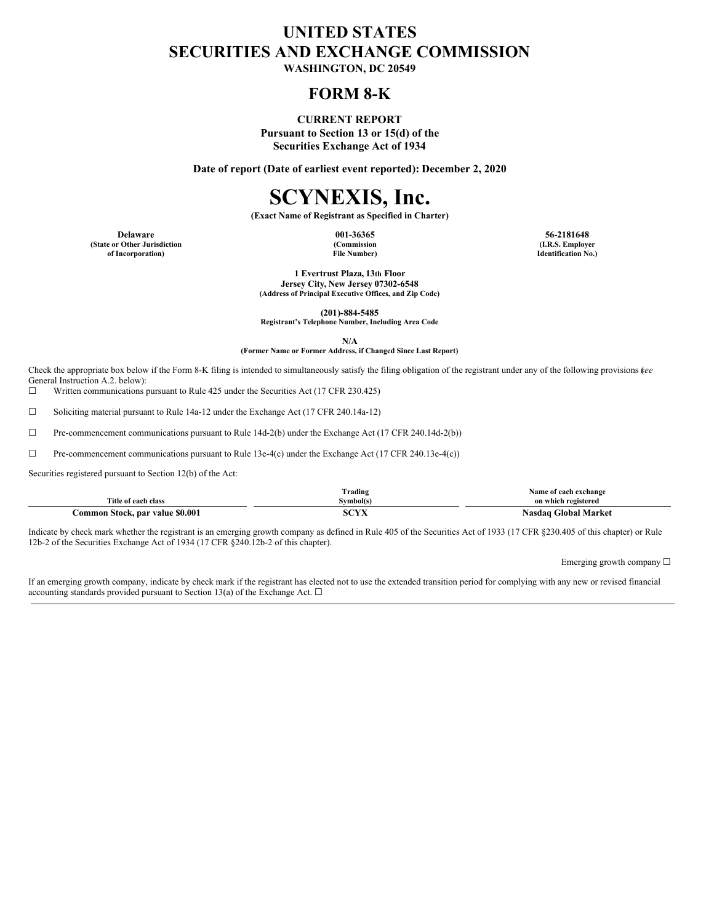## **UNITED STATES SECURITIES AND EXCHANGE COMMISSION**

**WASHINGTON, DC 20549**

### **FORM 8-K**

### **CURRENT REPORT**

**Pursuant to Section 13 or 15(d) of the Securities Exchange Act of 1934**

**Date of report (Date of earliest event reported): December 2, 2020**

# **SCYNEXIS, Inc.**

**(Exact Name of Registrant as Specified in Charter)**

**(State or Other Jurisdiction of Incorporation)**

**(Commission File Number)**

**Delaware 001-36365 56-2181648 (I.R.S. Employer Identification No.)**

> **1 Evertrust Plaza, 13th Floor Jersey City, New Jersey 07302-6548 (Address of Principal Executive Offices, and Zip Code)**

> > **(201)-884-5485**

**Registrant's Telephone Number, Including Area Code**

**N/A (Former Name or Former Address, if Changed Since Last Report)**

Check the appropriate box below if the Form 8-K filing is intended to simultaneously satisfy the filing obligation of the registrant under any of the following provisions (*see* General Instruction A.2. below):

☐ Written communications pursuant to Rule 425 under the Securities Act (17 CFR 230.425)

 $\Box$  Soliciting material pursuant to Rule 14a-12 under the Exchange Act (17 CFR 240.14a-12)

☐ Pre-commencement communications pursuant to Rule 14d-2(b) under the Exchange Act (17 CFR 240.14d-2(b))

☐ Pre-commencement communications pursuant to Rule 13e-4(c) under the Exchange Act (17 CFR 240.13e-4(c))

Securities registered pursuant to Section 12(b) of the Act:

|                                       | Trading     | Name of each exchange          |
|---------------------------------------|-------------|--------------------------------|
| Title of each class                   | vmbol(s     | on which registered            |
| \$0.001<br>stock, par value<br>`ommon | CCTV<br>71. | -lobal :<br>  Market<br>Nasdao |

Indicate by check mark whether the registrant is an emerging growth company as defined in Rule 405 of the Securities Act of 1933 (17 CFR §230.405 of this chapter) or Rule 12b-2 of the Securities Exchange Act of 1934 (17 CFR §240.12b-2 of this chapter).

Emerging growth company ☐

If an emerging growth company, indicate by check mark if the registrant has elected not to use the extended transition period for complying with any new or revised financial accounting standards provided pursuant to Section 13(a) of the Exchange Act.  $\Box$